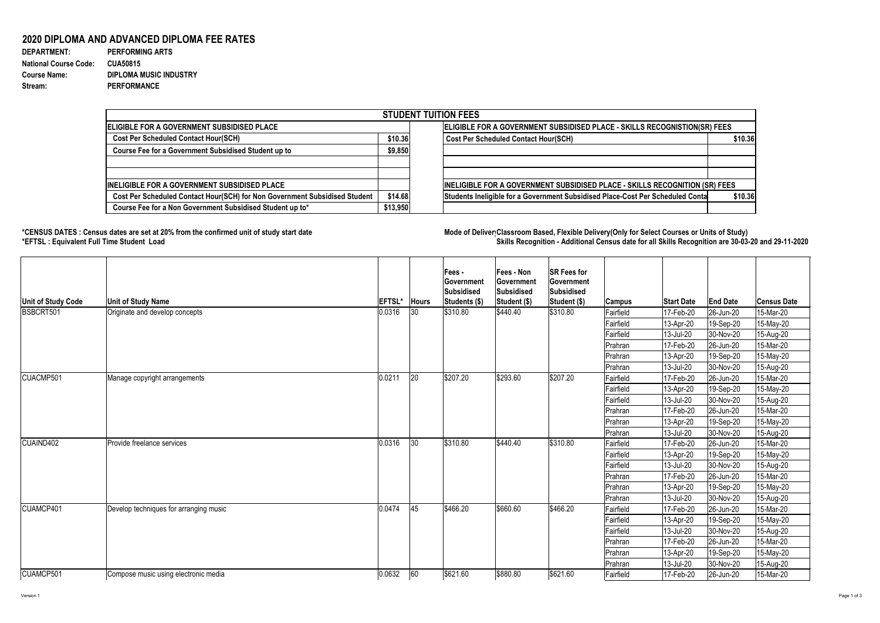Version 1 Page 1 of 3

## **2020 DIPLOMA AND ADVANCED DIPLOMA FEE RATES**

| <b>DEPARTMENT:</b>           | <b>PERFORMING ARTS</b>        |
|------------------------------|-------------------------------|
| <b>National Course Code:</b> | <b>CUA50815</b>               |
| <b>Course Name:</b>          | <b>DIPLOMA MUSIC INDUSTRY</b> |
| Stream:                      | <b>PERFORMANCE</b>            |

## **\*CENSUS DATES : Census dates are set at 20% from the confirmed unit of study start date Mode of DeliveryClassroom Based, Flexible Delivery(Only for Select Courses or Units of Study) \*EFTSL : Equivalent Full Time Student Load Skills Recognition - Additional Census date for all Skills Recognition are 30-03-20 and 29-11-2020**



| <b>STUDENT TUITION FEES</b>                                                |          |                                                                                           |  |  |  |  |  |  |
|----------------------------------------------------------------------------|----------|-------------------------------------------------------------------------------------------|--|--|--|--|--|--|
| <b>IELIGIBLE FOR A GOVERNMENT SUBSIDISED PLACE</b>                         |          | ELIGIBLE FOR A GOVERNMENT SUBSIDISED PLACE - SKILLS RECOGNISTION(SR) FEES                 |  |  |  |  |  |  |
| <b>Cost Per Scheduled Contact Hour(SCH)</b>                                |          | <b>Cost Per Scheduled Contact Hour(SCH)</b><br>\$10.36                                    |  |  |  |  |  |  |
| <b>Course Fee for a Government Subsidised Student up to</b>                | \$9,850  |                                                                                           |  |  |  |  |  |  |
|                                                                            |          |                                                                                           |  |  |  |  |  |  |
|                                                                            |          |                                                                                           |  |  |  |  |  |  |
| <b>INELIGIBLE FOR A GOVERNMENT SUBSIDISED PLACE</b>                        |          | INELIGIBLE FOR A GOVERNMENT SUBSIDISED PLACE - SKILLS RECOGNITION (SR) FEES               |  |  |  |  |  |  |
| Cost Per Scheduled Contact Hour(SCH) for Non Government Subsidised Student | \$14.68  | \$10.36<br>Students Ineligible for a Government Subsidised Place-Cost Per Scheduled Conta |  |  |  |  |  |  |
| Course Fee for a Non Government Subsidised Student up to*                  | \$13,950 |                                                                                           |  |  |  |  |  |  |

| <b>Unit of Study Code</b> | <b>Unit of Study Name</b>              | <b>EFTSL*</b> | <b>Hours</b> | Fees -<br><b>Government</b><br>Subsidised<br>Students (\$) | <b> Fees - Non</b><br>Government<br><b>Subsidised</b><br>Student (\$) | <b>SR Fees for</b><br><b>Government</b><br>Subsidised<br>Student (\$) | <b>Campus</b> | <b>Start Date</b> | <b>End Date</b>   | <b>Census Date</b> |
|---------------------------|----------------------------------------|---------------|--------------|------------------------------------------------------------|-----------------------------------------------------------------------|-----------------------------------------------------------------------|---------------|-------------------|-------------------|--------------------|
| BSBCRT501                 | Originate and develop concepts         | 0.0316        | 30           | \$310.80                                                   | \$440.40                                                              | \$310.80                                                              | Fairfield     | 17-Feb-20         | 26-Jun-20         | 15-Mar-20          |
|                           |                                        |               |              |                                                            |                                                                       |                                                                       | Fairfield     | 13-Apr-20         | 19-Sep-20         | 15-May-20          |
|                           |                                        |               |              |                                                            |                                                                       |                                                                       | Fairfield     | 13-Jul-20         | 30-Nov-20         | 15-Aug-20          |
|                           |                                        |               |              |                                                            |                                                                       |                                                                       | Prahran       | 17-Feb-20         | $ 26 - Jun-20 $   | 15-Mar-20          |
|                           |                                        |               |              |                                                            |                                                                       |                                                                       | Prahran       | 13-Apr-20         | 19-Sep-20         | 15-May-20          |
|                           |                                        |               |              |                                                            |                                                                       |                                                                       | Prahran       | 13-Jul-20         | 30-Nov-20         | 15-Aug-20          |
| CUACMP501                 | Manage copyright arrangements          | 0.0211        | 20           | \$207.20                                                   | \$293.60                                                              | \$207.20                                                              | Fairfield     | 17-Feb-20         | 26-Jun-20         | 15-Mar-20          |
|                           |                                        |               |              |                                                            |                                                                       |                                                                       | Fairfield     | 13-Apr-20         | 19-Sep-20         | 15-May-20          |
|                           |                                        |               |              |                                                            |                                                                       |                                                                       | Fairfield     | 13-Jul-20         | 30-Nov-20         | 15-Aug-20          |
|                           |                                        |               |              |                                                            |                                                                       |                                                                       | Prahran       | 17-Feb-20         | 26-Jun-20         | 15-Mar-20          |
|                           |                                        |               |              |                                                            |                                                                       |                                                                       | Prahran       | 13-Apr-20         | 19-Sep-20         | 15-May-20          |
|                           |                                        |               |              |                                                            |                                                                       |                                                                       | Prahran       | 13-Jul-20         | 30-Nov-20         | 15-Aug-20          |
| CUAIND402                 | Provide freelance services             | 0.0316        | 30           | \$310.80                                                   | \$440.40                                                              | \$310.80                                                              | Fairfield     | 17-Feb-20         | $ 26 - Jun - 20 $ | 15-Mar-20          |
|                           |                                        |               |              |                                                            |                                                                       |                                                                       | Fairfield     | 13-Apr-20         | 19-Sep-20         | 15-May-20          |
|                           |                                        |               |              |                                                            |                                                                       |                                                                       | Fairfield     | 13-Jul-20         | 30-Nov-20         | 15-Aug-20          |
|                           |                                        |               |              |                                                            |                                                                       |                                                                       | Prahran       | 17-Feb-20         | 26-Jun-20         | 15-Mar-20          |
|                           |                                        |               |              |                                                            |                                                                       |                                                                       | Prahran       | 13-Apr-20         | 19-Sep-20         | 15-May-20          |
|                           |                                        |               |              |                                                            |                                                                       |                                                                       | Prahran       | 13-Jul-20         | 30-Nov-20         | 15-Aug-20          |
| CUAMCP401                 | Develop techniques for arranging music | 0.0474        | 45           | \$466.20                                                   | \$660.60                                                              | \$466.20                                                              | Fairfield     | 17-Feb-20         | 26-Jun-20         | 15-Mar-20          |
|                           |                                        |               |              |                                                            |                                                                       |                                                                       | Fairfield     | 13-Apr-20         | 19-Sep-20         | 15-May-20          |
|                           |                                        |               |              |                                                            |                                                                       |                                                                       | Fairfield     | 13-Jul-20         | 30-Nov-20         | 15-Aug-20          |
|                           |                                        |               |              |                                                            |                                                                       |                                                                       | Prahran       | 17-Feb-20         | 26-Jun-20         | 15-Mar-20          |
|                           |                                        |               |              |                                                            |                                                                       |                                                                       | Prahran       | $ 13 - Apr-20 $   | 19-Sep-20         | 15-May-20          |
|                           |                                        |               |              |                                                            |                                                                       |                                                                       | Prahran       | $ 13 -$ Jul-20    | 30-Nov-20         | 15-Aug-20          |
| CUAMCP501                 | Compose music using electronic media   | 0.0632        | 60           | \$621.60                                                   | \$880.80                                                              | \$621.60                                                              | Fairfield     | 17-Feb-20         | 26-Jun-20         | 15-Mar-20          |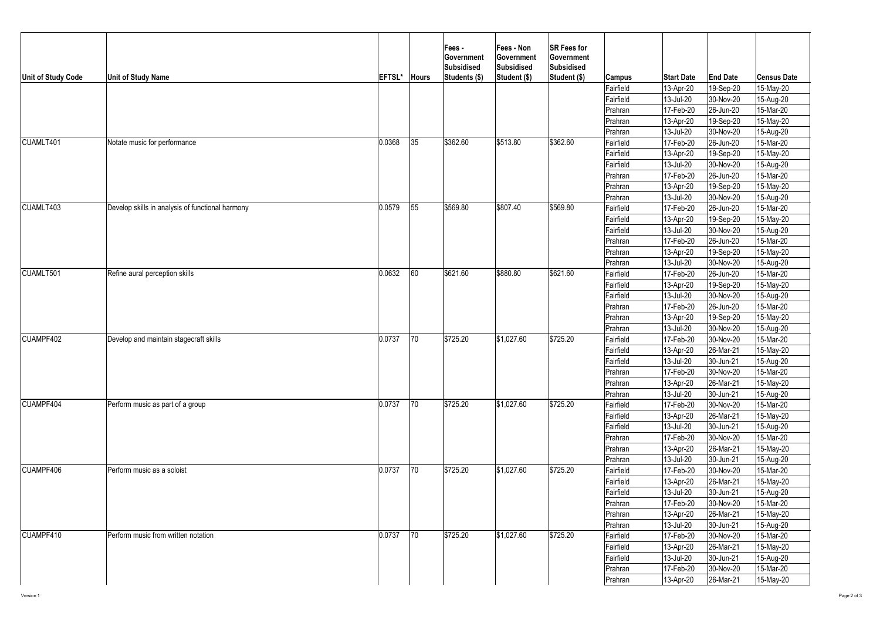

| <b>Unit of Study Code</b> | <b>Unit of Study Name</b>                        | EFTSL* | <b>Hours</b> | <b>Fees-</b><br><b>Government</b><br>Subsidised<br>Students (\$) | <b>Fees - Non</b><br><b>Government</b><br>Subsidised<br>Student (\$) | <b>SR Fees for</b><br><b>Government</b><br>Subsidised<br>Student (\$) | <b>Campus</b>          | <b>Start Date</b>      | <b>End Date</b>                  | <b>Census Date</b>     |
|---------------------------|--------------------------------------------------|--------|--------------|------------------------------------------------------------------|----------------------------------------------------------------------|-----------------------------------------------------------------------|------------------------|------------------------|----------------------------------|------------------------|
|                           |                                                  |        |              |                                                                  |                                                                      |                                                                       | Fairfield              | 13-Apr-20              | 19-Sep-20                        | 15-May-20              |
|                           |                                                  |        |              |                                                                  |                                                                      |                                                                       | Fairfield              | 13-Jul-20              | 30-Nov-20                        | 15-Aug-20              |
|                           |                                                  |        |              |                                                                  |                                                                      |                                                                       | Prahran                | 17-Feb-20              | 26-Jun-20                        | 15-Mar-20              |
|                           |                                                  |        |              |                                                                  |                                                                      |                                                                       | Prahran                | $13-Apr-20$            | 19-Sep-20                        | 15-May-20              |
|                           |                                                  |        |              |                                                                  |                                                                      |                                                                       | Prahran                | 13-Jul-20              | 30-Nov-20                        | 15-Aug-20              |
| CUAMLT401                 | Notate music for performance                     | 0.0368 | 35           | \$362.60                                                         | \$513.80                                                             | \$362.60                                                              | Fairfield              | 17-Feb-20              | 26-Jun-20                        | 15-Mar-20              |
|                           |                                                  |        |              |                                                                  |                                                                      |                                                                       | Fairfield              | $13-Apr-20$            | 19-Sep-20                        | 15-May-20              |
|                           |                                                  |        |              |                                                                  |                                                                      |                                                                       | Fairfield              | 13-Jul-20              | 30-Nov-20                        | 15-Aug-20              |
|                           |                                                  |        |              |                                                                  |                                                                      |                                                                       | Prahran                | 17-Feb-20              | 26-Jun-20                        | 15-Mar-20              |
|                           |                                                  |        |              |                                                                  |                                                                      |                                                                       | Prahran                | 13-Apr-20              | 19-Sep-20                        | 15-May-20              |
|                           |                                                  |        |              |                                                                  |                                                                      |                                                                       | Prahran                | 13-Jul-20              | 30-Nov-20                        | 15-Aug-20              |
| CUAMLT403                 | Develop skills in analysis of functional harmony | 0.0579 | 55           | \$569.80                                                         | \$807.40                                                             | \$569.80                                                              | Fairfield              | 17-Feb-20              | $ 26 - Jun - 20 $                | 15-Mar-20              |
|                           |                                                  |        |              |                                                                  |                                                                      |                                                                       | Fairfield              | 13-Apr-20              | 19-Sep-20                        | 15-May-20              |
|                           |                                                  |        |              |                                                                  |                                                                      |                                                                       | Fairfield              | $ 13 -$ Jul-20         | 30-Nov-20                        | 15-Aug-20              |
|                           |                                                  |        |              |                                                                  |                                                                      |                                                                       | Prahran                | 17-Feb-20              | $ 26 - Jun - 20 $                | 15-Mar-20              |
|                           |                                                  |        |              |                                                                  |                                                                      |                                                                       | Prahran                | 13-Apr-20              | 19-Sep-20                        | 15-May-20              |
|                           |                                                  |        |              |                                                                  |                                                                      |                                                                       | Prahran                | 13-Jul-20              | 30-Nov-20                        | 15-Aug-20              |
| CUAMLT501                 | Refine aural perception skills                   | 0.0632 | 60           | \$621.60                                                         | \$880.80                                                             | \$621.60                                                              | Fairfield              | 17-Feb-20              | 26-Jun-20                        | 15-Mar-20              |
|                           |                                                  |        |              |                                                                  |                                                                      |                                                                       | Fairfield              | 13-Apr-20              | 19-Sep-20                        | 15-May-20              |
|                           |                                                  |        |              |                                                                  |                                                                      |                                                                       | Fairfield              | 13-Jul-20              | 30-Nov-20                        | 15-Aug-20              |
|                           |                                                  |        |              |                                                                  |                                                                      |                                                                       | Prahran                | 17-Feb-20              | 26-Jun-20                        | 15-Mar-20              |
|                           |                                                  |        |              |                                                                  |                                                                      |                                                                       | Prahran                | 13-Apr-20              | 19-Sep-20                        | 15-May-20              |
|                           |                                                  |        |              |                                                                  |                                                                      |                                                                       | Prahran                | 13-Jul-20              | 30-Nov-20                        | 15-Aug-20              |
| CUAMPF402                 | Develop and maintain stagecraft skills           | 0.0737 | 70           | \$725.20                                                         | \$1,027.60                                                           | \$725.20                                                              | Fairfield              | 17-Feb-20              | 30-Nov-20                        | 15-Mar-20              |
|                           |                                                  |        |              |                                                                  |                                                                      |                                                                       | Fairfield              | $ 13 - Apr - 20 $      | $ 26$ -Mar-21                    | 15-May-20              |
|                           |                                                  |        |              |                                                                  |                                                                      |                                                                       | Fairfield              | 13-Jul-20              | $ 30 - Jun-21 $                  | 15-Aug-20              |
|                           |                                                  |        |              |                                                                  |                                                                      |                                                                       | Prahran                | 17-Feb-20              | 30-Nov-20                        | 15-Mar-20              |
|                           |                                                  |        |              |                                                                  |                                                                      |                                                                       | Prahran                | $ 13 - Apr-20 $        | $ 26$ -Mar-21                    | 15-May-20              |
|                           |                                                  |        |              |                                                                  |                                                                      |                                                                       | Prahran                | $ 13 -$ Jul-20         | $ 30 - Jun-21 $                  | 15-Aug-20              |
| <b>CUAMPF404</b>          | Perform music as part of a group                 | 0.0737 | 70           | \$725.20                                                         | \$1,027.60                                                           | \$725.20                                                              | Fairfield              | 17-Feb-20              | 30-Nov-20                        | 15-Mar-20              |
|                           |                                                  |        |              |                                                                  |                                                                      |                                                                       | Fairfield              | 13-Apr-20              | 26-Mar-21                        | 15-May-20              |
|                           |                                                  |        |              |                                                                  |                                                                      |                                                                       | Fairfield              | 13-Jul-20              | 30-Jun-21                        | 15-Aug-20              |
|                           |                                                  |        |              |                                                                  |                                                                      |                                                                       | Prahran                | 17-Feb-20              | 30-Nov-20                        | 15-Mar-20              |
|                           |                                                  |        |              |                                                                  |                                                                      |                                                                       | Prahran                | 13-Apr-20              | 26-Mar-21                        | 15-May-20              |
| CUAMPF406                 |                                                  | 0.0737 | 70           | \$725.20                                                         | \$1,027.60                                                           | \$725.20                                                              | Prahran                | 13-Jul-20              | 30-Jun-21                        | 15-Aug-20              |
|                           | Perform music as a soloist                       |        |              |                                                                  |                                                                      |                                                                       | Fairfield              | 17-Feb-20              | 30-Nov-20                        | 15-Mar-20              |
|                           |                                                  |        |              |                                                                  |                                                                      |                                                                       | Fairfield<br>Fairfield | 13-Apr-20              | $ 26$ -Mar-21                    | 15-May-20              |
|                           |                                                  |        |              |                                                                  |                                                                      |                                                                       |                        | 13-Jul-20              | $ 30 - Jun-21 $<br>30-Nov-20     | 15-Aug-20<br>15-Mar-20 |
|                           |                                                  |        |              |                                                                  |                                                                      |                                                                       | Prahran                | 17-Feb-20<br>13-Apr-20 | 26-Mar-21                        | 15-May-20              |
|                           |                                                  |        |              |                                                                  |                                                                      |                                                                       | Prahran                | 13-Jul-20              |                                  |                        |
| CUAMPF410                 | Perform music from written notation              | 0.0737 | $ 70\rangle$ | \$725.20                                                         | \$1,027.60                                                           | \$725.20                                                              | Prahran<br>Fairfield   | 17-Feb-20              | $ 30 - Jun-21 $<br>$ 30-Nov-20 $ | 15-Aug-20<br>15-Mar-20 |
|                           |                                                  |        |              |                                                                  |                                                                      |                                                                       | Fairfield              | 13-Apr-20              | $ 26$ -Mar-21                    | 15-May-20              |
|                           |                                                  |        |              |                                                                  |                                                                      |                                                                       | Fairfield              | $ 13 -$ Jul-20         | $ 30 - Jun-21 $                  | 15-Aug-20              |
|                           |                                                  |        |              |                                                                  |                                                                      |                                                                       | Prahran                | 17-Feb-20              | 30-Nov-20                        | 15-Mar-20              |
|                           |                                                  |        |              |                                                                  |                                                                      |                                                                       | Prahran                | $ 13 - Apr - 20 $      | $ 26$ -Mar-21                    | 15-May-20              |
|                           |                                                  |        |              |                                                                  |                                                                      |                                                                       |                        |                        |                                  |                        |